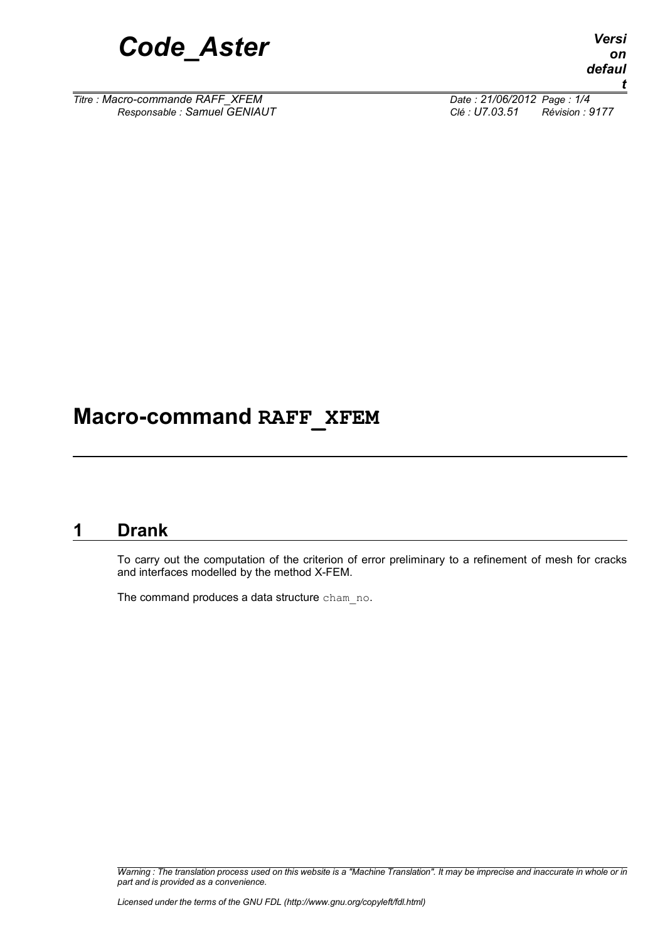

*Titre : Macro-commande RAFF\_XFEM Date : 21/06/2012 Page : 1/4*

*Responsable : Samuel GENIAUT Clé : U7.03.51 Révision : 9177*

## **Macro-command RAFF\_XFEM**

#### **1 Drank**

To carry out the computation of the criterion of error preliminary to a refinement of mesh for cracks and interfaces modelled by the method X-FEM.

The command produces a data structure cham no.

*Warning : The translation process used on this website is a "Machine Translation". It may be imprecise and inaccurate in whole or in part and is provided as a convenience.*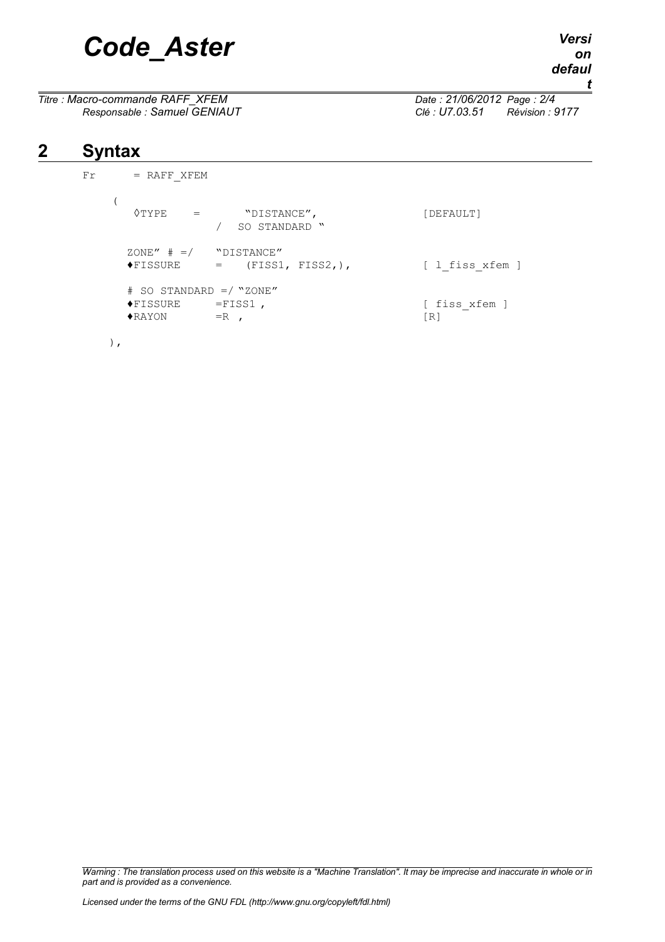# *Code\_Aster Versi*

*Titre : Macro-commande RAFF\_XFEM Date : 21/06/2012 Page : 2/4*

*Responsable : Samuel GENIAUT Clé : U7.03.51 Révision : 9177*

## **2 Syntax**

 $Fr$  = RAFF\_XFEM (  $\Diamond \texttt{TYPE} \quad = \quad \texttt{"DISTANCE",} \quad \texttt{[DEFAULT]}$ / SO STANDARD "  $ZONE''$   $\#$  =/ "DISTANCE"<br>  $\blacklozenge$ FISSURE = (FISS1, FISS2,), [ l fiss xfem ] # SO STANDARD =/ "ZONE"  $\text{FISSURE}$  =FISS1,  $\text{FISSURE}$  $\blacklozenge$ RAYON =R ,  $[R]$ 

$$
\left( \qquad \qquad \right) \ ,
$$

*Warning : The translation process used on this website is a "Machine Translation". It may be imprecise and inaccurate in whole or in part and is provided as a convenience.*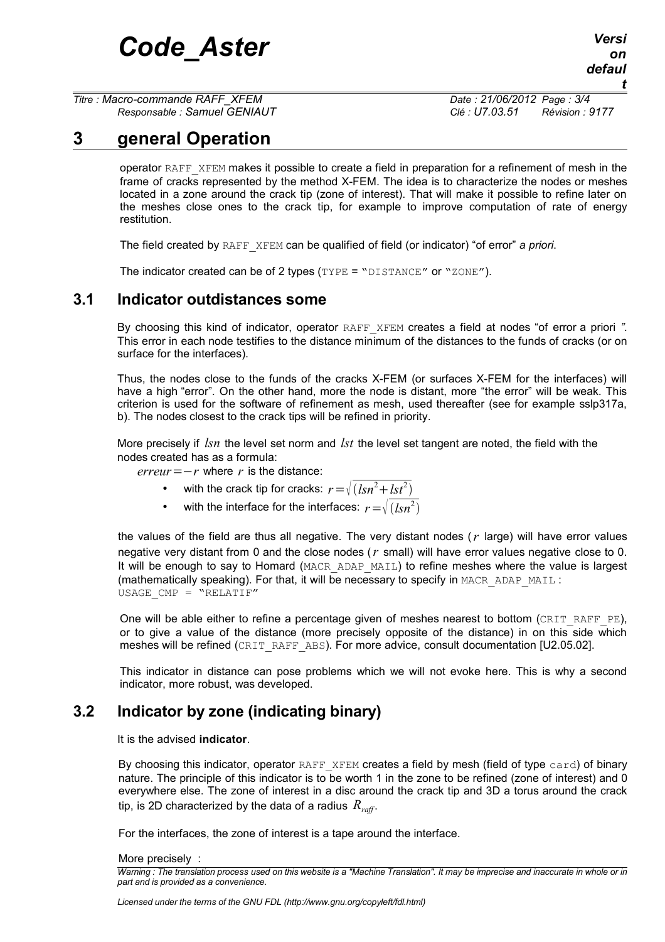*Titre : Macro-commande RAFF\_XFEM Date : 21/06/2012 Page : 3/4*

*Responsable : Samuel GENIAUT Clé : U7.03.51 Révision : 9177*

## **3 general Operation**

<span id="page-2-2"></span>operator RAFF\_XFEM makes it possible to create a field in preparation for a refinement of mesh in the frame of cracks represented by the method X-FEM. The idea is to characterize the nodes or meshes located in a zone around the crack tip (zone of interest). That will make it possible to refine later on the meshes close ones to the crack tip, for example to improve computation of rate of energy restitution.

The field created by RAFF\_XFEM can be qualified of field (or indicator) "of error" *a priori*.

<span id="page-2-0"></span>The indicator created can be of 2 types (TYPE = "DISTANCE" or "ZONE").

#### **3.1 Indicator outdistances some**

By choosing this kind of indicator, operator RAFF\_XFEM creates a field at nodes "of error a priori *"*. This error in each node testifies to the distance minimum of the distances to the funds of cracks (or on surface for the interfaces).

Thus, the nodes close to the funds of the cracks X-FEM (or surfaces X-FEM for the interfaces) will have a high "error". On the other hand, more the node is distant, more "the error" will be weak. This criterion is used for the software of refinement as mesh, used thereafter (see for example sslp317a, b). The nodes closest to the crack tips will be refined in priority.

More precisely if *lsn* the level set norm and *lst* the level set tangent are noted, the field with the nodes created has as a formula:

 $erreur = -r$  where *r* is the distance:

- with the crack tip for cracks:  $r = \sqrt{(lsn^2 + lst^2)}$
- with the interface for the interfaces:  $r = \sqrt{(lsn^2)}$

the values of the field are thus all negative. The very distant nodes (*r* large) will have error values negative very distant from 0 and the close nodes (*r* small) will have error values negative close to 0. It will be enough to say to Homard (MACR\_ADAP\_MAIL) to refine meshes where the value is largest (mathematically speaking). For that, it will be necessary to specify in MACR\_ADAP\_MAIL : USAGE  $CMP = "RELATIF"$ 

One will be able either to refine a percentage given of meshes nearest to bottom (CRIT\_RAFF\_PE). or to give a value of the distance (more precisely opposite of the distance) in on this side which meshes will be refined (CRIT\_RAFF\_ABS). For more advice, consult documentation [U2.05.02].

This indicator in distance can pose problems which we will not evoke here. This is why a second indicator, more robust, was developed.

#### **3.2 Indicator by zone (indicating binary)**

<span id="page-2-1"></span>It is the advised **indicator**.

By choosing this indicator, operator RAFF\_XFEM creates a field by mesh (field of type card) of binary nature. The principle of this indicator is to be worth 1 in the zone to be refined (zone of interest) and 0 everywhere else. The zone of interest in a disc around the crack tip and 3D a torus around the crack tip, is 2D characterized by the data of a radius  $R_{\text{reff}}$ .

For the interfaces, the zone of interest is a tape around the interface.

More precisely :

*Warning : The translation process used on this website is a "Machine Translation". It may be imprecise and inaccurate in whole or in part and is provided as a convenience.*